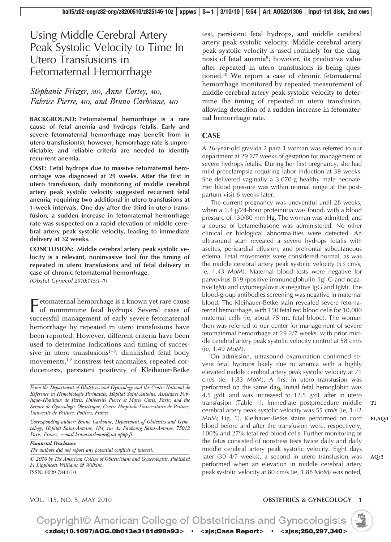# Using Middle Cerebral Artery Peak Systolic Velocity to Time In Utero Transfusions in Fetomaternal Hemorrhage

### *Ste´phanie Friszer, MD, Anne Cortey, MD, Fabrice Pierre, MD, and Bruno Carbonne, MD*

**BACKGROUND: Fetomaternal hemorrhage is a rare cause of fetal anemia and hydrops fetalis. Early and severe fetomaternal hemorrhage may benefit from in utero transfusion(s); however, hemorrhage rate is unpredictable, and reliable criteria are needed to identify recurrent anemia.**

**CASE: Fetal hydrops due to massive fetomaternal hemorrhage was diagnosed at 29 weeks. After the first in utero transfusion, daily monitoring of middle cerebral artery peak systolic velocity suggested recurrent fetal anemia, requiring two additional in utero transfusions at 1-week intervals. One day after the third in utero transfusion, a sudden increase in fetomaternal hemorrhage rate was suspected on a rapid elevation of middle cerebral artery peak systolic velocity, leading to immediate delivery at 32 weeks.**

**CONCLUSION: Middle cerebral artery peak systolic velocity is a relevant, noninvasive tool for the timing of repeated in utero transfusions and of fetal delivery in case of chronic fetomaternal hemorrhage.**

*(Obstet Gynecol 2010;115:1–1)*

 $\blacksquare$  etomaternal hemorrhage is a known yet rare cause of nonimmune fetal hydrops. Several cases of successful management of early severe fetomaternal hemorrhage by repeated in utero transfusions have been reported. However, different criteria have been used to determine indications and timing of successive in utero transfusions<sup>1-8</sup>: diminished fetal body movements,<sup>1,2</sup> nonstress test anomalies, repeated cordocentesis, persistent positivity of Kleihauer-Betke

*Corresponding author: Bruno Carbonne, Department of Obstetrics and Gynecology, Hoˆpital Saint-Antoine, 184, rue du Faubourg Saint-Antoine, 75012 Paris, France; e-mail bruno.carbonne@sat.aphp.fr.*

*Financial Disclosure The authors did not report any potential conflicts of interest.*

*© 2010 by The American College of Obstetricians and Gynecologists. Published by Lippincott Williams & Wilkins.* ISSN: 0029-7844/10

test, persistent fetal hydrops, and middle cerebral artery peak systolic velocity. Middle cerebral artery peak systolic velocity is used routinely for the diagnosis of fetal anemia<sup>9</sup>; however, its predictive value after repeated in utero transfusions is being questioned.10 We report a case of chronic fetomaternal hemorrhage monitored by repeated measurement of middle cerebral artery peak systolic velocity to determine the timing of repeated in utero transfusion, allowing detection of a sudden increase in fetomaternal hemorrhage rate.

### **CASE**

A 26-year-old gravida 2 para 1 woman was referred to our department at 29 2/7 weeks of gestation for management of severe hydrops fetalis. During her first pregnancy, she had mild preeclampsia requiring labor induction at 39 weeks. She delivered vaginally a 3,070-g healthy male neonate. Her blood pressure was within normal range at the postpartum visit 6 weeks later.

The current pregnancy was uneventful until 28 weeks, when a 1.4 g/24-hour proteinuria was found, with a blood pressure of 130/80 mm Hg. The woman was admitted, and a course of betamethasone was administered. No other clinical or biological abnormalities were detected. An ultrasound scan revealed a severe hydrops fetalis with ascites, pericardial effusion, and prefrontal subcutaneous edema. Fetal movements were considered normal, as was the middle cerebral artery peak systolic velocity (53 cm/s, ie, 1.43 MoM). Maternal blood tests were negative for parvovirus B19 (positive immunoglobulin [Ig] G and negative IgM) and cytomegalovirus (negative IgG and IgM). The blood-group antibodies screening was negative in maternal blood. The Kleihauer-Betke stain revealed severe fetomaternal hemorrhage, with 150 fetal red blood cells for 10,000 maternal cells (ie, about 75 mL fetal blood). The woman then was referred to our center for management of severe fetomaternal hemorrhage at 29 2/7 weeks, with prior middle cerebral artery peak systolic velocity control at 58 cm/s (ie, 1.49 MoM).

On admission, ultrasound examination confirmed severe fetal hydrops likely due to anemia with a highly elevated middle cerebral artery peak systolic velocity at 71 cm/s (ie, 1.83 MoM). A first in utero transfusion was performed on the same day. Initial fetal hemoglobin was 4.5 g/dL and was increased to 12.5 g/dL after in utero transfusion (Table 1). Immediate postprocedure middle cerebral artery peak systolic velocity was 55 cm/s (ie, 1.42 MoM; Fig. 1). Kleihauer-Betke stains performed on cord blood before and after the transfusion were, respectively, 100% and 27% fetal red blood cells. Further monitoring of the fetus consisted of nonstress tests twice daily and daily middle cerebral artery peak systolic velocity. Eight days later (30 4/7 weeks), a second in utero transfusion was performed when an elevation in middle cerebral artery peak systolic velocity at 80 cm/s (ie, 1.88 MoM) was noted,

**T1**

**AQ: 2**

### VOL. 115, NO. 5, MAY 2010 **OBSTETRICS & GYNECOLOGY 1**



*From the Department of Obstetrics and Gynecology and the Centre National de* Reference en Hemobiologie Perinatale, Hopital Saint-Antoine, Assistance Publique-Hopitaux de Paris, Universite Pierre et Marie Curie, Paris; and the Service de Gynecologie Obstetrique, Centre Hospitalo-Universitaire de Poitiers, *Universite´ de Poitiers, Poitiers, France.*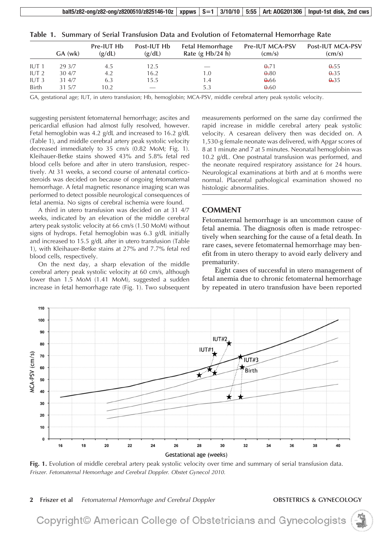| Table 1. Summary of Serial Transfusion Data and Evolution of Fetomaternal Hemorrhage Rate |  |  |
|-------------------------------------------------------------------------------------------|--|--|
|-------------------------------------------------------------------------------------------|--|--|

|                                  | $GA$ (wk)        | Pre-IUT Hb<br>(g/dL) | Post-IUT Hb<br>(g/dL) | <b>Fetal Hemorrhage</b><br>Rate $(g Hb/24 h)$ | <b>Pre-IUT MCA-PSV</b><br>$\text{(cm/s)}$ | Post-IUT MCA-PSV<br>$\text{(cm/s)}$ |
|----------------------------------|------------------|----------------------|-----------------------|-----------------------------------------------|-------------------------------------------|-------------------------------------|
| IUT <sub>1</sub>                 | 29 3/7           | 4.5                  | 12.5                  |                                               | 0.71                                      | 0.55                                |
| IUT <sub>2</sub>                 | 30 4/7           | 4.2                  | 16.2                  | 1.0                                           | 0.80                                      | 0.35                                |
| IUT <sub>3</sub><br><b>Birth</b> | 31 4/7<br>31 5/7 | 6.3<br>10.2          | 15.5                  | 1.4<br>5.3                                    | 0.66<br>0.60                              | 0.35                                |

GA, gestational age; IUT, in utero transfusion; Hb, hemoglobin; MCA-PSV, middle cerebral artery peak systolic velocity.

suggesting persistent fetomaternal hemorrhage; ascites and pericardial effusion had almost fully resolved, however. Fetal hemoglobin was 4.2 g/dL and increased to 16.2 g/dL (Table 1), and middle cerebral artery peak systolic velocity decreased immediately to 35 cm/s (0.82 MoM; Fig. 1). Kleihauer-Betke stains showed 43% and 5.8% fetal red blood cells before and after in utero transfusion, respectively. At 31 weeks, a second course of antenatal corticosteroids was decided on because of ongoing fetomaternal hemorrhage. A fetal magnetic resonance imaging scan was performed to detect possible neurological consequences of fetal anemia. No signs of cerebral ischemia were found.

A third in utero transfusion was decided on at 31 4/7 weeks, indicated by an elevation of the middle cerebral artery peak systolic velocity at 66 cm/s (1.50 MoM) without signs of hydrops. Fetal hemoglobin was 6.3 g/dL initially and increased to 15.5 g/dL after in utero transfusion (Table 1), with Kleihauer-Betke stains at 27% and 7.7% fetal red blood cells, respectively.

On the next day, a sharp elevation of the middle cerebral artery peak systolic velocity at 60 cm/s, although lower than 1.5 MoM (1.41 MoM), suggested a sudden increase in fetal hemorrhage rate (Fig. 1). Two subsequent measurements performed on the same day confirmed the rapid increase in middle cerebral artery peak systolic velocity. A cesarean delivery then was decided on. A 1,530-g female neonate was delivered, with Apgar scores of 8 at 1 minute and 7 at 5 minutes. Neonatal hemoglobin was 10.2 g/dL. One postnatal transfusion was performed, and the neonate required respiratory assistance for 24 hours. Neurological examinations at birth and at 6 months were normal. Placental pathological examination showed no histologic abnormalities.

### **COMMENT**

Fetomaternal hemorrhage is an uncommon cause of fetal anemia. The diagnosis often is made retrospectively when searching for the cause of a fetal death. In rare cases, severe fetomaternal hemorrhage may benefit from in utero therapy to avoid early delivery and prematurity.

Eight cases of successful in utero management of fetal anemia due to chronic fetomaternal hemorrhage by repeated in utero transfusion have been reported



**Fig. 1.** Evolution of middle cerebral artery peak systolic velocity over time and summary of serial transfusion data. *Friszer. Fetomaternal Hemorrhage and Cerebral Doppler. Obstet Gynecol 2010.*

**2 Friszer et al** *Fetomaternal Hemorrhage and Cerebral Doppler* **OBSTETRICS & GYNECOLOGY**

Copyright© American College of Obstetricians and Gynecologists

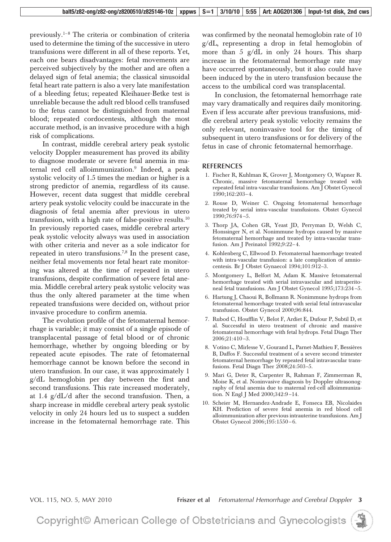previously.<sup>1–8</sup> The criteria or combination of criteria used to determine the timing of the successive in utero transfusions were different in all of these reports. Yet, each one bears disadvantages: fetal movements are perceived subjectively by the mother and are often a delayed sign of fetal anemia; the classical sinusoidal fetal heart rate pattern is also a very late manifestation of a bleeding fetus; repeated Kleihauer-Betke test is unreliable because the adult red blood cells transfused to the fetus cannot be distinguished from maternal blood; repeated cordocentesis, although the most accurate method, is an invasive procedure with a high risk of complications.

In contrast, middle cerebral artery peak systolic velocity Doppler measurement has proved its ability to diagnose moderate or severe fetal anemia in maternal red cell alloimmunization.<sup>9</sup> Indeed, a peak systolic velocity of 1.5 times the median or higher is a strong predictor of anemia, regardless of its cause. However, recent data suggest that middle cerebral artery peak systolic velocity could be inaccurate in the diagnosis of fetal anemia after previous in utero transfusion, with a high rate of false-positive results.10 In previously reported cases, middle cerebral artery peak systolic velocity always was used in association with other criteria and never as a sole indicator for repeated in utero transfusions.<sup>7,8</sup> In the present case, neither fetal movements nor fetal heart rate monitoring was altered at the time of repeated in utero transfusions, despite confirmation of severe fetal anemia. Middle cerebral artery peak systolic velocity was thus the only altered parameter at the time when repeated transfusions were decided on, without prior invasive procedure to confirm anemia.

The evolution profile of the fetomaternal hemorrhage is variable; it may consist of a single episode of transplacental passage of fetal blood or of chronic hemorrhage, whether by ongoing bleeding or by repeated acute episodes. The rate of fetomaternal hemorrhage cannot be known before the second in utero transfusion. In our case, it was approximately 1 g/dL hemoglobin per day between the first and second transfusions. This rate increased moderately, at 1.4 g/dL/d after the second transfusion. Then, a sharp increase in middle cerebral artery peak systolic velocity in only 24 hours led us to suspect a sudden increase in the fetomaternal hemorrhage rate. This

was confirmed by the neonatal hemoglobin rate of 10 g/dL, representing a drop in fetal hemoglobin of more than 5 g/dL in only 24 hours. This sharp increase in the fetomaternal hemorrhage rate may have occurred spontaneously, but it also could have been induced by the in utero transfusion because the access to the umbilical cord was transplacental.

In conclusion, the fetomaternal hemorrhage rate may vary dramatically and requires daily monitoring. Even if less accurate after previous transfusions, middle cerebral artery peak systolic velocity remains the only relevant, noninvasive tool for the timing of subsequent in utero transfusions or for delivery of the fetus in case of chronic fetomaternal hemorrhage.

### **REFERENCES**

- 1. Fischer R, Kuhlman K, Grover J, Montgomery O, Wapner R. Chronic, massive fetomaternal hemorrhage treated with repeated fetal intra-vascular transfusions. Am J Obstet Gynecol 1990;162:203– 4.
- 2. Rouse D, Weiner C. Ongoing fetomaternal hemorrhage treated by serial intra-vascular transfusions. Obstet Gynecol 1990;76:974 –5.
- 3. Thorp JA, Cohen GR, Yeast JD, Perryman D, Welsh C, Honssinger N, et al. Nonimmune hydrops caused by massive fetomaternal hemorrhage and treated by intra-vascular transfusion. Am J Perinatol 1992;9:22-4.
- 4. Kohlenberg C, Ellwood D. Fetomaternal haemorrhage treated with intra-vascular transfusion: a late complication of amniocentesis. Br J Obstet Gynaecol 1994;101:912–3.
- 5. Montgomery L, Belfort M, Adam K. Massive fetomaternal hemorrhage treated with serial intravascular and intraperitoneal fetal transfusions. Am J Obstet Gynecol 1995;173:234 –5.
- 6. Hartung J, Chaoui R, Bollmann R. Nonimmune hydrops from fetomaternal hemorrhage treated with serial fetal intravascular transfusion. Obstet Gynecol 2000;96:844.
- 7. Rubod C, Houfflin V, Belot F, Ardiet E, Dufour P, Subtil D, et al. Successful in utero treatment of chronic and massive fetomaternal hemorrhage with fetal hydrops. Fetal Diagn Ther 2006;21:410 –3.
- 8. Votino C, Mirlesse V, Gourand L, Parnet-Mathieu F, Bessières B, Daffos F. Successful treatment of a severe second trimester fetomaternal hemorrhage by repeated fetal intravascular transfusions. Fetal Diagn Ther 2008;24:503–5.
- 9. Mari G, Deter R, Carpenter R, Rahman F, Zimmerman R, Moise K, et al. Noninvasive diagnosis by Doppler ultrasonography of fetal anemia due to maternal red-cell alloimmunization. N Engl J Med 2000;342:9 –14.
- 10. Scheier M, Hernandez-Andrade E, Fonseca EB, Nicolaides KH. Prediction of severe fetal anemia in red blood cell alloimmunization after previous intrauterine transfusions. Am J Obstet Gynecol 2006;195:1550 – 6.

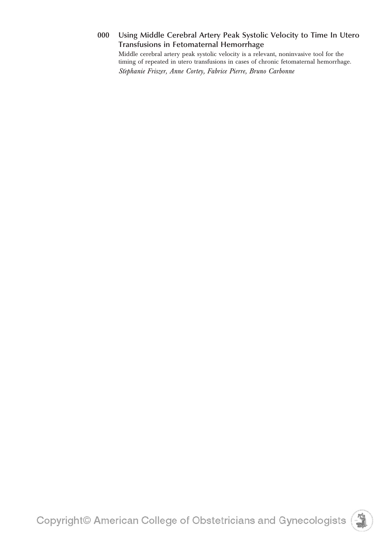### **000 Using Middle Cerebral Artery Peak Systolic Velocity to Time In Utero Transfusions in Fetomaternal Hemorrhage**

Middle cerebral artery peak systolic velocity is a relevant, noninvasive tool for the timing of repeated in utero transfusions in cases of chronic fetomaternal hemorrhage. *Ste´phanie Friszer, Anne Cortey, Fabrice Pierre, Bruno Carbonne*